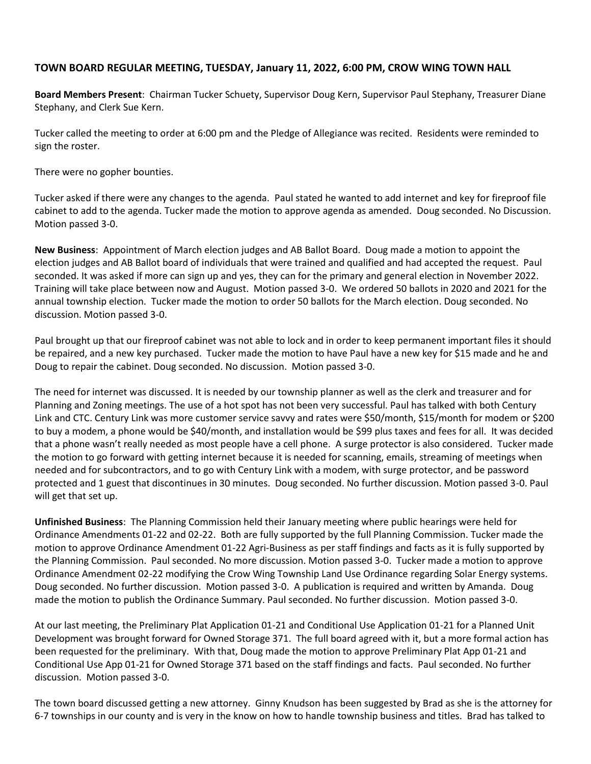## **TOWN BOARD REGULAR MEETING, TUESDAY, January 11, 2022, 6:00 PM, CROW WING TOWN HALL**

**Board Members Present**: Chairman Tucker Schuety, Supervisor Doug Kern, Supervisor Paul Stephany, Treasurer Diane Stephany, and Clerk Sue Kern.

Tucker called the meeting to order at 6:00 pm and the Pledge of Allegiance was recited. Residents were reminded to sign the roster.

There were no gopher bounties.

Tucker asked if there were any changes to the agenda. Paul stated he wanted to add internet and key for fireproof file cabinet to add to the agenda. Tucker made the motion to approve agenda as amended. Doug seconded. No Discussion. Motion passed 3-0.

**New Business**: Appointment of March election judges and AB Ballot Board. Doug made a motion to appoint the election judges and AB Ballot board of individuals that were trained and qualified and had accepted the request. Paul seconded. It was asked if more can sign up and yes, they can for the primary and general election in November 2022. Training will take place between now and August. Motion passed 3-0. We ordered 50 ballots in 2020 and 2021 for the annual township election. Tucker made the motion to order 50 ballots for the March election. Doug seconded. No discussion. Motion passed 3-0.

Paul brought up that our fireproof cabinet was not able to lock and in order to keep permanent important files it should be repaired, and a new key purchased. Tucker made the motion to have Paul have a new key for \$15 made and he and Doug to repair the cabinet. Doug seconded. No discussion. Motion passed 3-0.

The need for internet was discussed. It is needed by our township planner as well as the clerk and treasurer and for Planning and Zoning meetings. The use of a hot spot has not been very successful. Paul has talked with both Century Link and CTC. Century Link was more customer service savvy and rates were \$50/month, \$15/month for modem or \$200 to buy a modem, a phone would be \$40/month, and installation would be \$99 plus taxes and fees for all. It was decided that a phone wasn't really needed as most people have a cell phone. A surge protector is also considered. Tucker made the motion to go forward with getting internet because it is needed for scanning, emails, streaming of meetings when needed and for subcontractors, and to go with Century Link with a modem, with surge protector, and be password protected and 1 guest that discontinues in 30 minutes. Doug seconded. No further discussion. Motion passed 3-0. Paul will get that set up.

**Unfinished Business**: The Planning Commission held their January meeting where public hearings were held for Ordinance Amendments 01-22 and 02-22. Both are fully supported by the full Planning Commission. Tucker made the motion to approve Ordinance Amendment 01-22 Agri-Business as per staff findings and facts as it is fully supported by the Planning Commission. Paul seconded. No more discussion. Motion passed 3-0. Tucker made a motion to approve Ordinance Amendment 02-22 modifying the Crow Wing Township Land Use Ordinance regarding Solar Energy systems. Doug seconded. No further discussion. Motion passed 3-0. A publication is required and written by Amanda. Doug made the motion to publish the Ordinance Summary. Paul seconded. No further discussion. Motion passed 3-0.

At our last meeting, the Preliminary Plat Application 01-21 and Conditional Use Application 01-21 for a Planned Unit Development was brought forward for Owned Storage 371. The full board agreed with it, but a more formal action has been requested for the preliminary. With that, Doug made the motion to approve Preliminary Plat App 01-21 and Conditional Use App 01-21 for Owned Storage 371 based on the staff findings and facts. Paul seconded. No further discussion. Motion passed 3-0.

The town board discussed getting a new attorney. Ginny Knudson has been suggested by Brad as she is the attorney for 6-7 townships in our county and is very in the know on how to handle township business and titles. Brad has talked to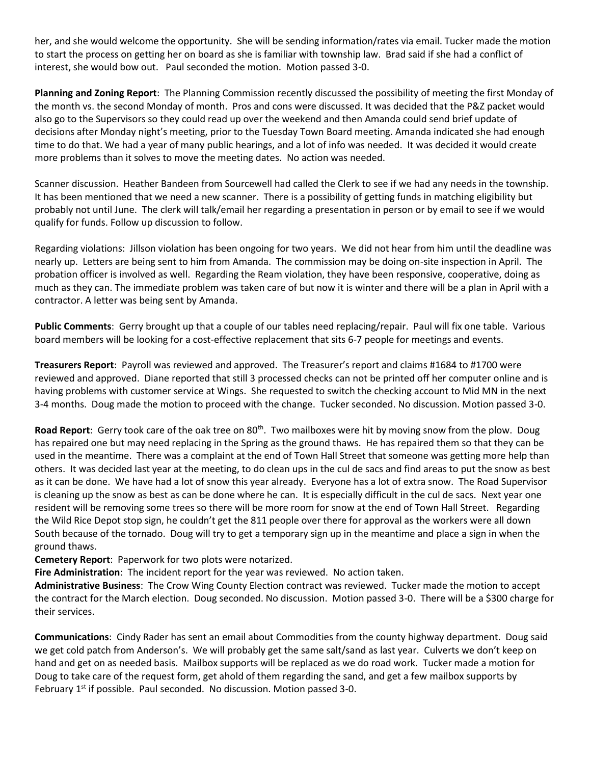her, and she would welcome the opportunity. She will be sending information/rates via email. Tucker made the motion to start the process on getting her on board as she is familiar with township law. Brad said if she had a conflict of interest, she would bow out. Paul seconded the motion. Motion passed 3-0.

**Planning and Zoning Report**: The Planning Commission recently discussed the possibility of meeting the first Monday of the month vs. the second Monday of month. Pros and cons were discussed. It was decided that the P&Z packet would also go to the Supervisors so they could read up over the weekend and then Amanda could send brief update of decisions after Monday night's meeting, prior to the Tuesday Town Board meeting. Amanda indicated she had enough time to do that. We had a year of many public hearings, and a lot of info was needed. It was decided it would create more problems than it solves to move the meeting dates. No action was needed.

Scanner discussion. Heather Bandeen from Sourcewell had called the Clerk to see if we had any needs in the township. It has been mentioned that we need a new scanner. There is a possibility of getting funds in matching eligibility but probably not until June. The clerk will talk/email her regarding a presentation in person or by email to see if we would qualify for funds. Follow up discussion to follow.

Regarding violations: Jillson violation has been ongoing for two years. We did not hear from him until the deadline was nearly up. Letters are being sent to him from Amanda. The commission may be doing on-site inspection in April. The probation officer is involved as well. Regarding the Ream violation, they have been responsive, cooperative, doing as much as they can. The immediate problem was taken care of but now it is winter and there will be a plan in April with a contractor. A letter was being sent by Amanda.

**Public Comments**: Gerry brought up that a couple of our tables need replacing/repair. Paul will fix one table. Various board members will be looking for a cost-effective replacement that sits 6-7 people for meetings and events.

**Treasurers Report**: Payroll was reviewed and approved. The Treasurer's report and claims #1684 to #1700 were reviewed and approved. Diane reported that still 3 processed checks can not be printed off her computer online and is having problems with customer service at Wings. She requested to switch the checking account to Mid MN in the next 3-4 months. Doug made the motion to proceed with the change. Tucker seconded. No discussion. Motion passed 3-0.

Road Report: Gerry took care of the oak tree on 80<sup>th</sup>. Two mailboxes were hit by moving snow from the plow. Doug has repaired one but may need replacing in the Spring as the ground thaws. He has repaired them so that they can be used in the meantime. There was a complaint at the end of Town Hall Street that someone was getting more help than others. It was decided last year at the meeting, to do clean ups in the cul de sacs and find areas to put the snow as best as it can be done. We have had a lot of snow this year already. Everyone has a lot of extra snow. The Road Supervisor is cleaning up the snow as best as can be done where he can. It is especially difficult in the cul de sacs. Next year one resident will be removing some trees so there will be more room for snow at the end of Town Hall Street. Regarding the Wild Rice Depot stop sign, he couldn't get the 811 people over there for approval as the workers were all down South because of the tornado. Doug will try to get a temporary sign up in the meantime and place a sign in when the ground thaws.

**Cemetery Report**: Paperwork for two plots were notarized.

**Fire Administration**: The incident report for the year was reviewed. No action taken.

**Administrative Business**: The Crow Wing County Election contract was reviewed. Tucker made the motion to accept the contract for the March election. Doug seconded. No discussion. Motion passed 3-0. There will be a \$300 charge for their services.

**Communications**: Cindy Rader has sent an email about Commodities from the county highway department. Doug said we get cold patch from Anderson's. We will probably get the same salt/sand as last year. Culverts we don't keep on hand and get on as needed basis. Mailbox supports will be replaced as we do road work. Tucker made a motion for Doug to take care of the request form, get ahold of them regarding the sand, and get a few mailbox supports by February 1<sup>st</sup> if possible. Paul seconded. No discussion. Motion passed 3-0.